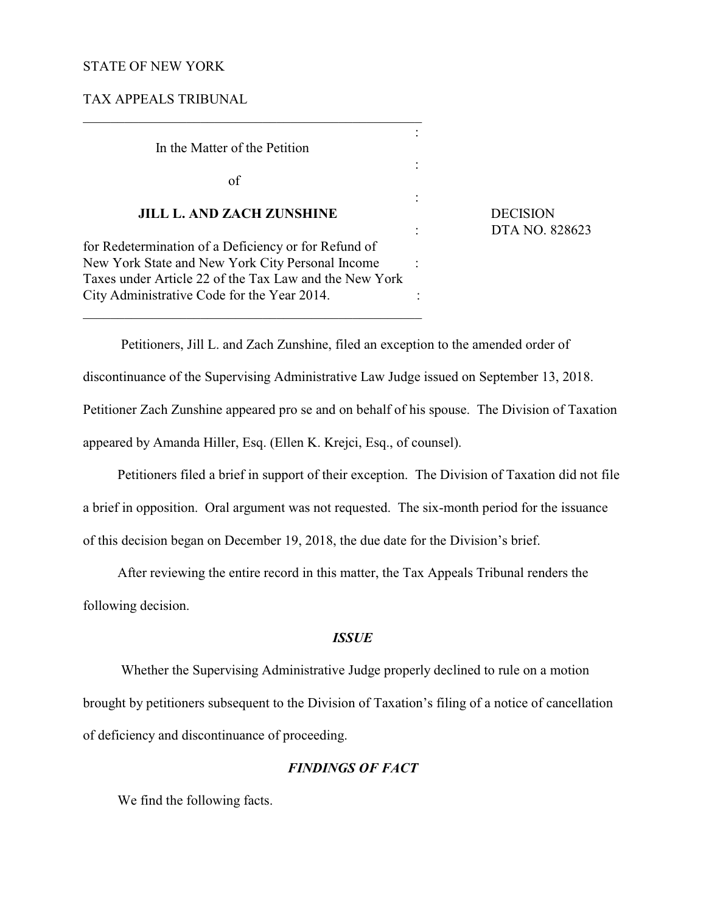## STATE OF NEW YORK

TAX APPEALS TRIBUNAL

\_\_\_\_\_\_\_\_\_\_\_\_\_\_\_\_\_\_\_\_\_\_\_\_\_\_\_\_\_\_\_\_\_\_\_\_\_\_\_\_\_\_\_\_\_\_\_\_\_ : In the Matter of the Petition : of : **JILL L. AND ZACH ZUNSHINE** DECISION for Redetermination of a Deficiency or for Refund of New York State and New York City Personal Income : Taxes under Article 22 of the Tax Law and the New York City Administrative Code for the Year 2014.

\_\_\_\_\_\_\_\_\_\_\_\_\_\_\_\_\_\_\_\_\_\_\_\_\_\_\_\_\_\_\_\_\_\_\_\_\_\_\_\_\_\_\_\_\_\_\_\_\_

: DTA NO. 828623

 Petitioners, Jill L. and Zach Zunshine, filed an exception to the amended order of discontinuance of the Supervising Administrative Law Judge issued on September 13, 2018. Petitioner Zach Zunshine appeared pro se and on behalf of his spouse. The Division of Taxation appeared by Amanda Hiller, Esq. (Ellen K. Krejci, Esq., of counsel).

Petitioners filed a brief in support of their exception. The Division of Taxation did not file a brief in opposition. Oral argument was not requested. The six-month period for the issuance of this decision began on December 19, 2018, the due date for the Division's brief.

After reviewing the entire record in this matter, the Tax Appeals Tribunal renders the following decision.

## *ISSUE*

 Whether the Supervising Administrative Judge properly declined to rule on a motion brought by petitioners subsequent to the Division of Taxation's filing of a notice of cancellation of deficiency and discontinuance of proceeding.

# *FINDINGS OF FACT*

We find the following facts.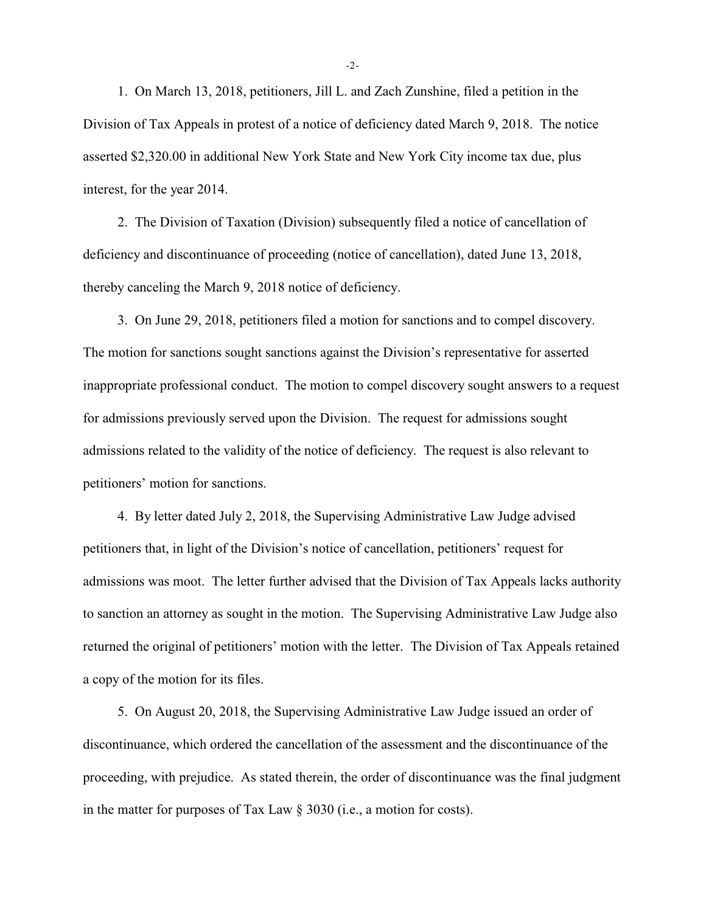1. On March 13, 2018, petitioners, Jill L. and Zach Zunshine, filed a petition in the Division of Tax Appeals in protest of a notice of deficiency dated March 9, 2018. The notice asserted \$2,320.00 in additional New York State and New York City income tax due, plus interest, for the year 2014.

2. The Division of Taxation (Division) subsequently filed a notice of cancellation of deficiency and discontinuance of proceeding (notice of cancellation), dated June 13, 2018, thereby canceling the March 9, 2018 notice of deficiency.

3. On June 29, 2018, petitioners filed a motion for sanctions and to compel discovery. The motion for sanctions sought sanctions against the Division's representative for asserted inappropriate professional conduct. The motion to compel discovery sought answers to a request for admissions previously served upon the Division. The request for admissions sought admissions related to the validity of the notice of deficiency. The request is also relevant to petitioners' motion for sanctions.

4. By letter dated July 2, 2018, the Supervising Administrative Law Judge advised petitioners that, in light of the Division's notice of cancellation, petitioners' request for admissions was moot. The letter further advised that the Division of Tax Appeals lacks authority to sanction an attorney as sought in the motion. The Supervising Administrative Law Judge also returned the original of petitioners' motion with the letter. The Division of Tax Appeals retained a copy of the motion for its files.

5. On August 20, 2018, the Supervising Administrative Law Judge issued an order of discontinuance, which ordered the cancellation of the assessment and the discontinuance of the proceeding, with prejudice. As stated therein, the order of discontinuance was the final judgment in the matter for purposes of Tax Law § 3030 (i.e., a motion for costs).

-2-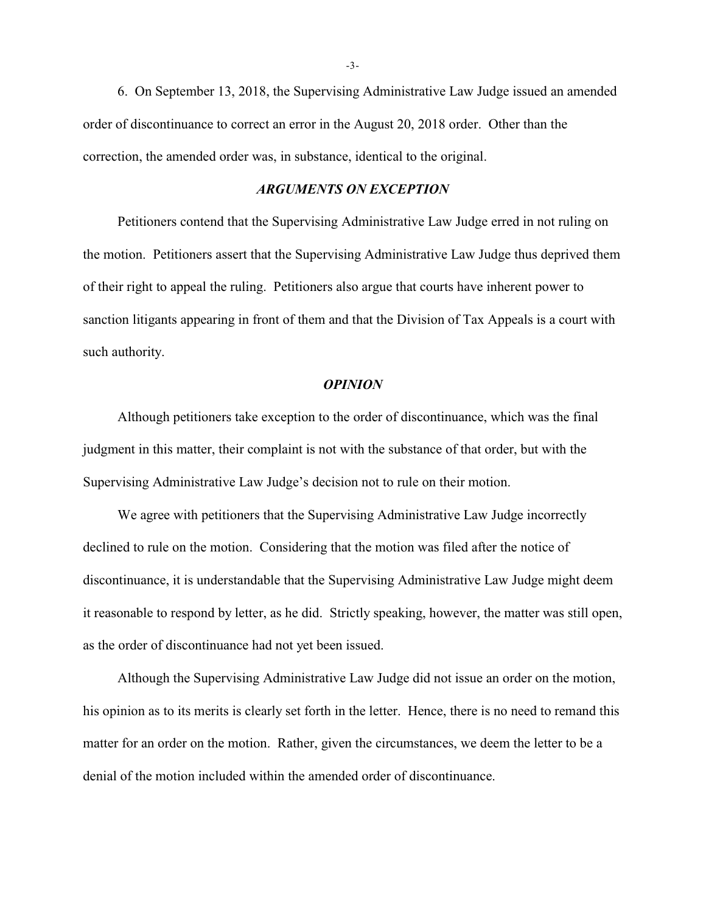6. On September 13, 2018, the Supervising Administrative Law Judge issued an amended order of discontinuance to correct an error in the August 20, 2018 order. Other than the correction, the amended order was, in substance, identical to the original.

### *ARGUMENTS ON EXCEPTION*

Petitioners contend that the Supervising Administrative Law Judge erred in not ruling on the motion. Petitioners assert that the Supervising Administrative Law Judge thus deprived them of their right to appeal the ruling. Petitioners also argue that courts have inherent power to sanction litigants appearing in front of them and that the Division of Tax Appeals is a court with such authority.

#### *OPINION*

Although petitioners take exception to the order of discontinuance, which was the final judgment in this matter, their complaint is not with the substance of that order, but with the Supervising Administrative Law Judge's decision not to rule on their motion.

We agree with petitioners that the Supervising Administrative Law Judge incorrectly declined to rule on the motion. Considering that the motion was filed after the notice of discontinuance, it is understandable that the Supervising Administrative Law Judge might deem it reasonable to respond by letter, as he did. Strictly speaking, however, the matter was still open, as the order of discontinuance had not yet been issued.

Although the Supervising Administrative Law Judge did not issue an order on the motion, his opinion as to its merits is clearly set forth in the letter. Hence, there is no need to remand this matter for an order on the motion. Rather, given the circumstances, we deem the letter to be a denial of the motion included within the amended order of discontinuance.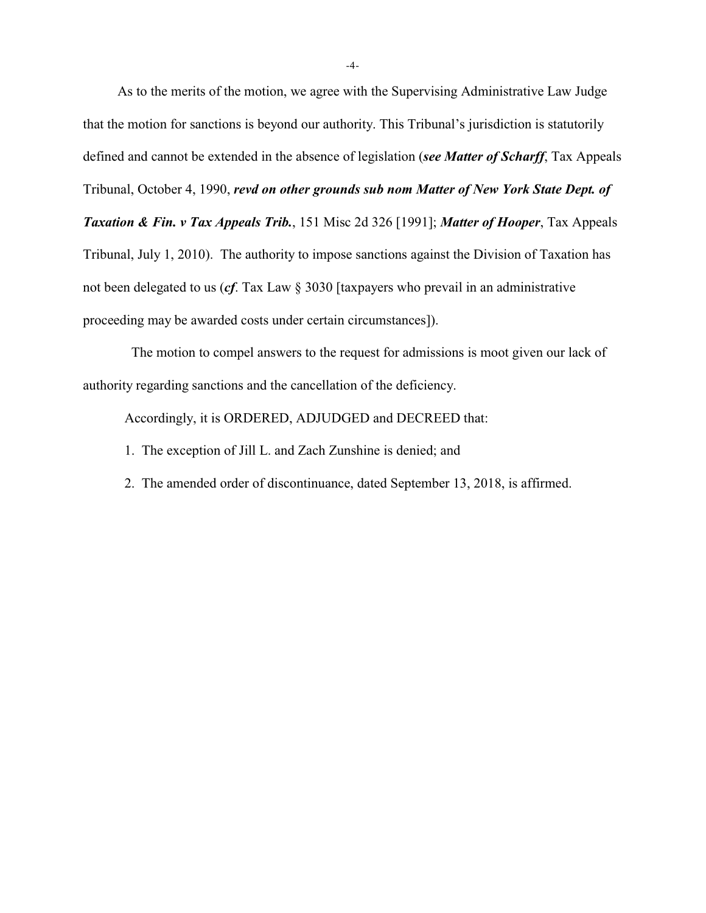As to the merits of the motion, we agree with the Supervising Administrative Law Judge that the motion for sanctions is beyond our authority. This Tribunal's jurisdiction is statutorily defined and cannot be extended in the absence of legislation (*see Matter of Scharff*, Tax Appeals Tribunal, October 4, 1990, *revd on other grounds sub nom Matter of New York State Dept. of Taxation & Fin. v Tax Appeals Trib.*, 151 Misc 2d 326 [1991]; *Matter of Hooper*, Tax Appeals Tribunal, July 1, 2010). The authority to impose sanctions against the Division of Taxation has not been delegated to us (*cf*. Tax Law § 3030 [taxpayers who prevail in an administrative proceeding may be awarded costs under certain circumstances]).

 The motion to compel answers to the request for admissions is moot given our lack of authority regarding sanctions and the cancellation of the deficiency.

Accordingly, it is ORDERED, ADJUDGED and DECREED that:

- 1. The exception of Jill L. and Zach Zunshine is denied; and
- 2. The amended order of discontinuance, dated September 13, 2018, is affirmed.